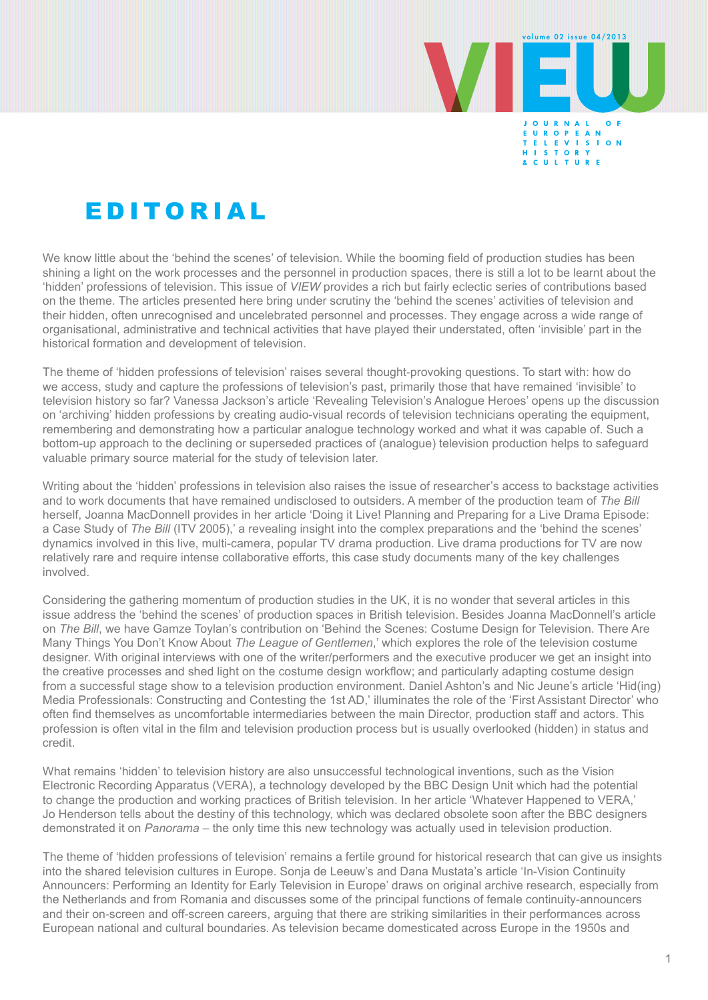

## E D I TO R I A L

We know little about the 'behind the scenes' of television. While the booming field of production studies has been shining a light on the work processes and the personnel in production spaces, there is still a lot to be learnt about the 'hidden' professions of television. This issue of *VIEW* provides a rich but fairly eclectic series of contributions based on the theme. The articles presented here bring under scrutiny the 'behind the scenes' activities of television and their hidden, often unrecognised and uncelebrated personnel and processes. They engage across a wide range of organisational, administrative and technical activities that have played their understated, often 'invisible' part in the historical formation and development of television.

The theme of 'hidden professions of television' raises several thought-provoking questions. To start with: how do we access, study and capture the professions of television's past, primarily those that have remained 'invisible' to television history so far? Vanessa Jackson's article 'Revealing Television's Analogue Heroes' opens up the discussion on 'archiving' hidden professions by creating audio-visual records of television technicians operating the equipment, remembering and demonstrating how a particular analogue technology worked and what it was capable of. Such a bottom-up approach to the declining or superseded practices of (analogue) television production helps to safeguard valuable primary source material for the study of television later.

Writing about the 'hidden' professions in television also raises the issue of researcher's access to backstage activities and to work documents that have remained undisclosed to outsiders. A member of the production team of *The Bill* herself, Joanna MacDonnell provides in her article 'Doing it Live! Planning and Preparing for a Live Drama Episode: a Case Study of *The Bill* (ITV 2005),' a revealing insight into the complex preparations and the 'behind the scenes' dynamics involved in this live, multi-camera, popular TV drama production. Live drama productions for TV are now relatively rare and require intense collaborative efforts, this case study documents many of the key challenges involved.

Considering the gathering momentum of production studies in the UK, it is no wonder that several articles in this issue address the 'behind the scenes' of production spaces in British television. Besides Joanna MacDonnell's article on *The Bill*, we have Gamze Toylan's contribution on 'Behind the Scenes: Costume Design for Television. There Are Many Things You Don't Know About *The League of Gentlemen*,' which explores the role of the television costume designer. With original interviews with one of the writer/performers and the executive producer we get an insight into the creative processes and shed light on the costume design workflow; and particularly adapting costume design from a successful stage show to a television production environment. Daniel Ashton's and Nic Jeune's article 'Hid(ing) Media Professionals: Constructing and Contesting the 1st AD,' illuminates the role of the 'First Assistant Director' who often find themselves as uncomfortable intermediaries between the main Director, production staff and actors. This profession is often vital in the film and television production process but is usually overlooked (hidden) in status and credit.

What remains 'hidden' to television history are also unsuccessful technological inventions, such as the Vision Electronic Recording Apparatus (VERA), a technology developed by the BBC Design Unit which had the potential to change the production and working practices of British television. In her article 'Whatever Happened to VERA,' Jo Henderson tells about the destiny of this technology, which was declared obsolete soon after the BBC designers demonstrated it on *Panorama* – the only time this new technology was actually used in television production.

The theme of 'hidden professions of television' remains a fertile ground for historical research that can give us insights into the shared television cultures in Europe. Sonja de Leeuw's and Dana Mustata's article 'In-Vision Continuity Announcers: Performing an Identity for Early Television in Europe' draws on original archive research, especially from the Netherlands and from Romania and discusses some of the principal functions of female continuity-announcers and their on-screen and off-screen careers, arguing that there are striking similarities in their performances across European national and cultural boundaries. As television became domesticated across Europe in the 1950s and